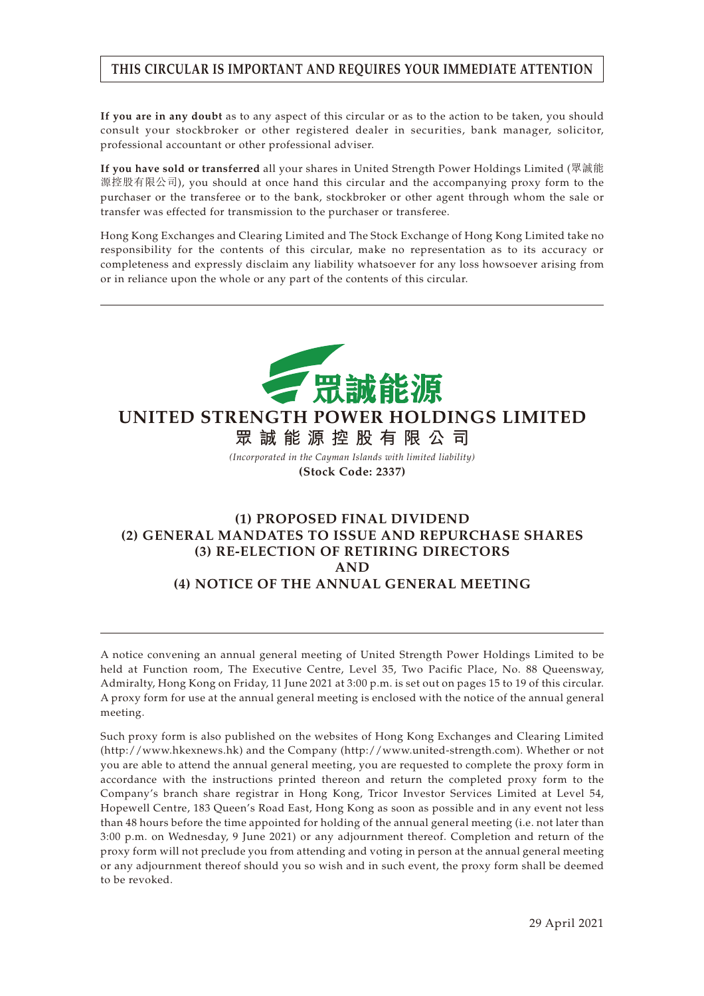# **THIS CIRCULAR IS IMPORTANT AND REQUIRES YOUR IMMEDIATE ATTENTION**

**If you are in any doubt** as to any aspect of this circular or as to the action to be taken, you should consult your stockbroker or other registered dealer in securities, bank manager, solicitor, professional accountant or other professional adviser.

**If you have sold or transferred** all your shares in United Strength Power Holdings Limited (眾誠能 源控股有限公司), you should at once hand this circular and the accompanying proxy form to the purchaser or the transferee or to the bank, stockbroker or other agent through whom the sale or transfer was effected for transmission to the purchaser or transferee.

Hong Kong Exchanges and Clearing Limited and The Stock Exchange of Hong Kong Limited take no responsibility for the contents of this circular, make no representation as to its accuracy or completeness and expressly disclaim any liability whatsoever for any loss howsoever arising from or in reliance upon the whole or any part of the contents of this circular.



# **UNITED STRENGTH POWER HOLDINGS LIMITED**

**眾誠能源控股有限公司** *(Incorporated in the Cayman Islands with limited liability)*

**(Stock Code: 2337)**

## **(1) PROPOSED FINAL DIVIDEND (2) GENERAL MANDATES TO ISSUE AND REPURCHASE SHARES (3) RE-ELECTION OF RETIRING DIRECTORS AND (4) NOTICE OF THE ANNUAL GENERAL MEETING**

A notice convening an annual general meeting of United Strength Power Holdings Limited to be held at Function room, The Executive Centre, Level 35, Two Pacific Place, No. 88 Queensway, Admiralty, Hong Kong on Friday, 11 June 2021 at 3:00 p.m. is set out on pages 15 to 19 of this circular. A proxy form for use at the annual general meeting is enclosed with the notice of the annual general meeting.

Such proxy form is also published on the websites of Hong Kong Exchanges and Clearing Limited (http://www.hkexnews.hk) and the Company (http://www.united-strength.com). Whether or not you are able to attend the annual general meeting, you are requested to complete the proxy form in accordance with the instructions printed thereon and return the completed proxy form to the Company's branch share registrar in Hong Kong, Tricor Investor Services Limited at Level 54, Hopewell Centre, 183 Queen's Road East, Hong Kong as soon as possible and in any event not less than 48 hours before the time appointed for holding of the annual general meeting (i.e. not later than 3:00 p.m. on Wednesday, 9 June 2021) or any adjournment thereof. Completion and return of the proxy form will not preclude you from attending and voting in person at the annual general meeting or any adjournment thereof should you so wish and in such event, the proxy form shall be deemed to be revoked.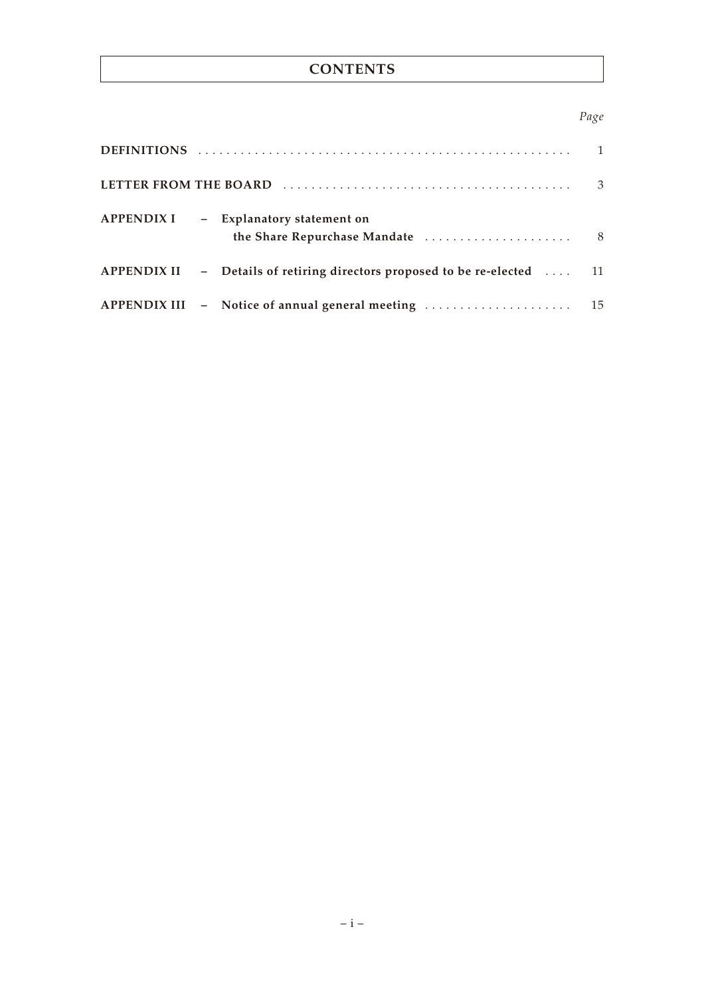# **CONTENTS**

## *Page*

|                                                                                  | 3 |
|----------------------------------------------------------------------------------|---|
| APPENDIX I - Explanatory statement on                                            |   |
| APPENDIX II - Details of retiring directors proposed to be re-elected $\dots$ 11 |   |
|                                                                                  |   |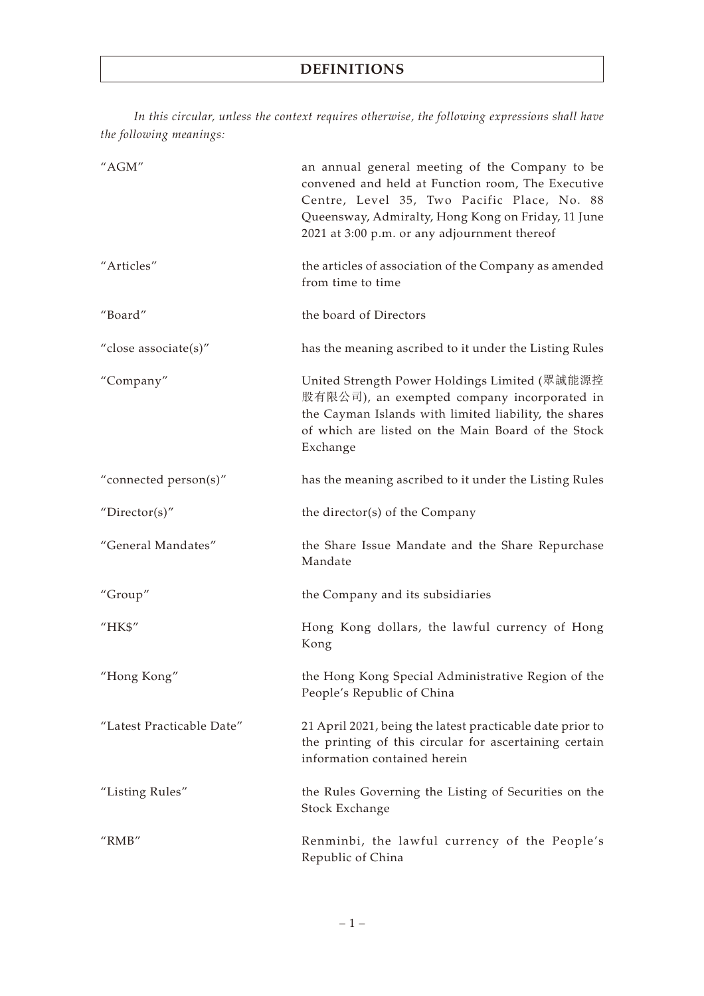*In this circular, unless the context requires otherwise, the following expressions shall have the following meanings:*

| "AGM"                     | an annual general meeting of the Company to be<br>convened and held at Function room, The Executive<br>Centre, Level 35, Two Pacific Place, No. 88<br>Queensway, Admiralty, Hong Kong on Friday, 11 June<br>2021 at 3:00 p.m. or any adjournment thereof |
|---------------------------|----------------------------------------------------------------------------------------------------------------------------------------------------------------------------------------------------------------------------------------------------------|
| "Articles"                | the articles of association of the Company as amended<br>from time to time                                                                                                                                                                               |
| "Board"                   | the board of Directors                                                                                                                                                                                                                                   |
| "close associate(s)"      | has the meaning ascribed to it under the Listing Rules                                                                                                                                                                                                   |
| "Company"                 | United Strength Power Holdings Limited (眾誠能源控<br>股有限公司), an exempted company incorporated in<br>the Cayman Islands with limited liability, the shares<br>of which are listed on the Main Board of the Stock<br>Exchange                                  |
| "connected person(s)"     | has the meaning ascribed to it under the Listing Rules                                                                                                                                                                                                   |
| "Director(s)"             | the director(s) of the Company                                                                                                                                                                                                                           |
| "General Mandates"        | the Share Issue Mandate and the Share Repurchase<br>Mandate                                                                                                                                                                                              |
| "Group"                   | the Company and its subsidiaries                                                                                                                                                                                                                         |
| "HK\$"                    | Hong Kong dollars, the lawful currency of Hong<br>Kong                                                                                                                                                                                                   |
| "Hong Kong"               | the Hong Kong Special Administrative Region of the<br>People's Republic of China                                                                                                                                                                         |
| "Latest Practicable Date" | 21 April 2021, being the latest practicable date prior to<br>the printing of this circular for ascertaining certain<br>information contained herein                                                                                                      |
| "Listing Rules"           | the Rules Governing the Listing of Securities on the<br>Stock Exchange                                                                                                                                                                                   |
| " $RMB"$                  | Renminbi, the lawful currency of the People's<br>Republic of China                                                                                                                                                                                       |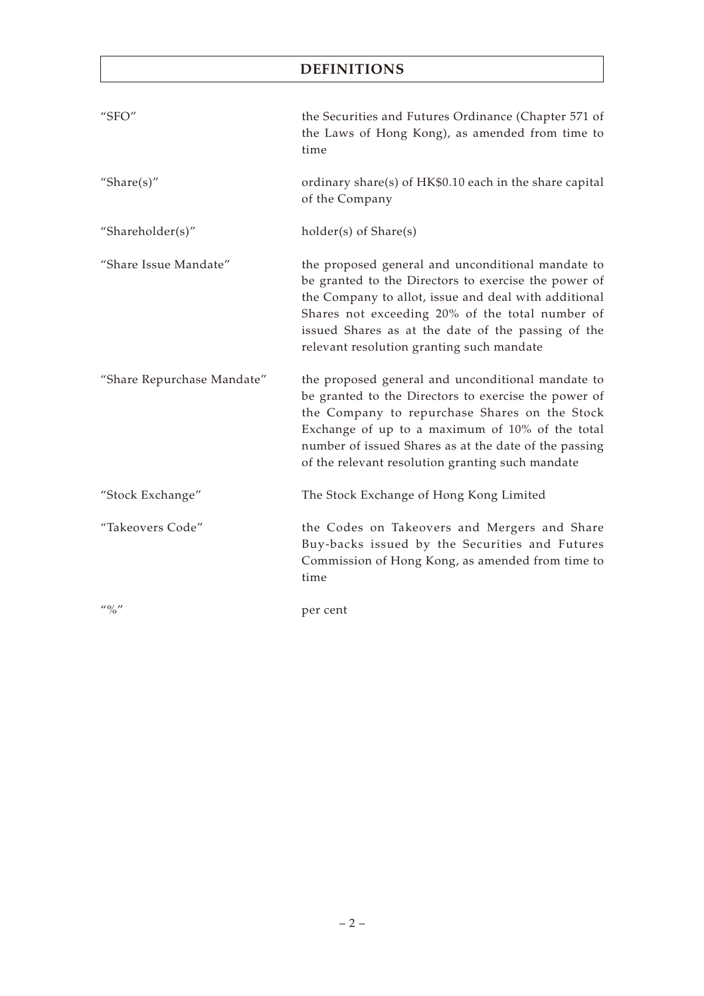# **DEFINITIONS**

| " $SFO"$                              | the Securities and Futures Ordinance (Chapter 571 of<br>the Laws of Hong Kong), as amended from time to<br>time                                                                                                                                                                                                            |
|---------------------------------------|----------------------------------------------------------------------------------------------------------------------------------------------------------------------------------------------------------------------------------------------------------------------------------------------------------------------------|
| "Share $(s)$ "                        | ordinary share(s) of HK\$0.10 each in the share capital<br>of the Company                                                                                                                                                                                                                                                  |
| "Shareholder(s)"                      | holder(s) of Share(s)                                                                                                                                                                                                                                                                                                      |
| "Share Issue Mandate"                 | the proposed general and unconditional mandate to<br>be granted to the Directors to exercise the power of<br>the Company to allot, issue and deal with additional<br>Shares not exceeding 20% of the total number of<br>issued Shares as at the date of the passing of the<br>relevant resolution granting such mandate    |
| "Share Repurchase Mandate"            | the proposed general and unconditional mandate to<br>be granted to the Directors to exercise the power of<br>the Company to repurchase Shares on the Stock<br>Exchange of up to a maximum of 10% of the total<br>number of issued Shares as at the date of the passing<br>of the relevant resolution granting such mandate |
| "Stock Exchange"                      | The Stock Exchange of Hong Kong Limited                                                                                                                                                                                                                                                                                    |
| "Takeovers Code"                      | the Codes on Takeovers and Mergers and Share<br>Buy-backs issued by the Securities and Futures<br>Commission of Hong Kong, as amended from time to<br>time                                                                                                                                                                 |
| $^{\prime\prime}$ % $^{\prime\prime}$ | per cent                                                                                                                                                                                                                                                                                                                   |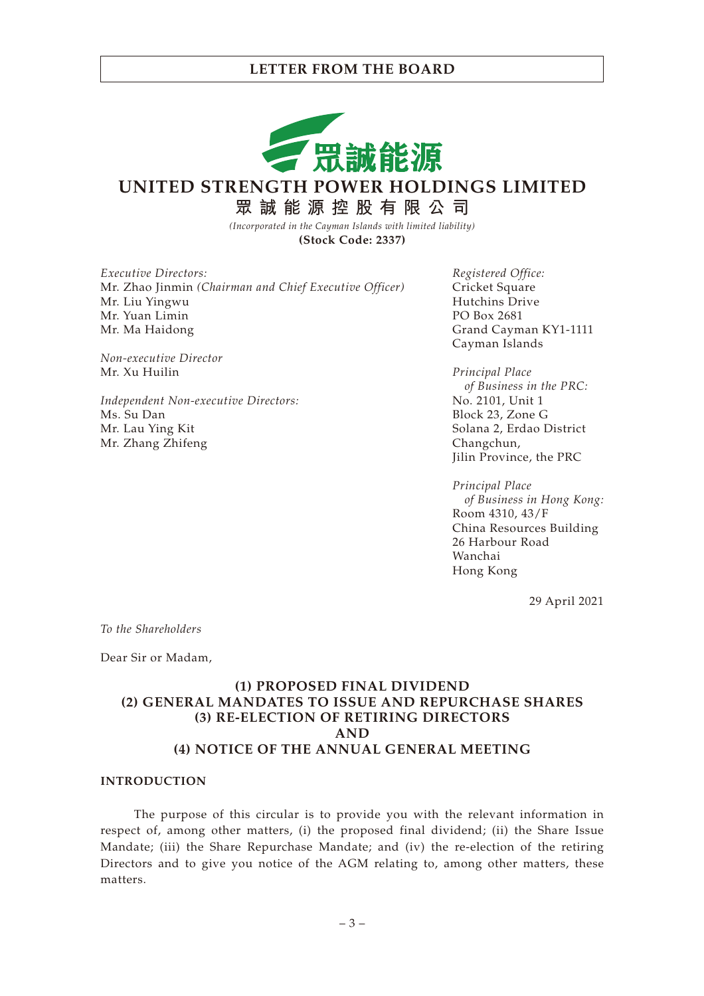

**UNITED STRENGTH POWER HOLDINGS LIMITED**

**眾誠能源控股有限公司**

*(Incorporated in the Cayman Islands with limited liability)* **(Stock Code: 2337)**

*Executive Directors:* Mr. Zhao Jinmin *(Chairman and Chief Executive Officer)* Mr. Liu Yingwu Mr. Yuan Limin Mr. Ma Haidong

*Non-executive Director* Mr. Xu Huilin

*Independent Non-executive Directors:* Ms. Su Dan Mr. Lau Ying Kit Mr. Zhang Zhifeng

*Registered Office:* Cricket Square Hutchins Drive PO Box 2681 Grand Cayman KY1-1111 Cayman Islands

*Principal Place of Business in the PRC:* No. 2101, Unit 1 Block 23, Zone G Solana 2, Erdao District Changchun, Jilin Province, the PRC

*Principal Place of Business in Hong Kong:* Room 4310, 43/F China Resources Building 26 Harbour Road Wanchai Hong Kong

29 April 2021

*To the Shareholders*

Dear Sir or Madam,

## **(1) PROPOSED FINAL DIVIDEND (2) GENERAL MANDATES TO ISSUE AND REPURCHASE SHARES (3) RE-ELECTION OF RETIRING DIRECTORS AND (4) NOTICE OF THE ANNUAL GENERAL MEETING**

### **INTRODUCTION**

The purpose of this circular is to provide you with the relevant information in respect of, among other matters, (i) the proposed final dividend; (ii) the Share Issue Mandate; (iii) the Share Repurchase Mandate; and (iv) the re-election of the retiring Directors and to give you notice of the AGM relating to, among other matters, these matters.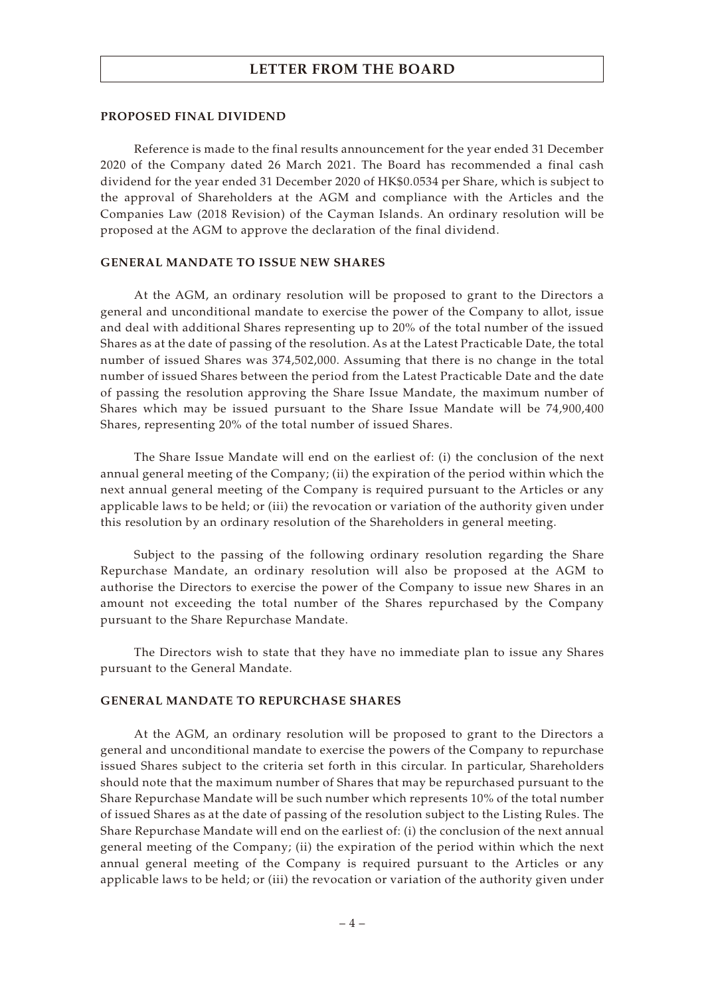### **PROPOSED FINAL DIVIDEND**

Reference is made to the final results announcement for the year ended 31 December 2020 of the Company dated 26 March 2021. The Board has recommended a final cash dividend for the year ended 31 December 2020 of HK\$0.0534 per Share, which is subject to the approval of Shareholders at the AGM and compliance with the Articles and the Companies Law (2018 Revision) of the Cayman Islands. An ordinary resolution will be proposed at the AGM to approve the declaration of the final dividend.

### **GENERAL MANDATE TO ISSUE NEW SHARES**

At the AGM, an ordinary resolution will be proposed to grant to the Directors a general and unconditional mandate to exercise the power of the Company to allot, issue and deal with additional Shares representing up to 20% of the total number of the issued Shares as at the date of passing of the resolution. As at the Latest Practicable Date, the total number of issued Shares was 374,502,000. Assuming that there is no change in the total number of issued Shares between the period from the Latest Practicable Date and the date of passing the resolution approving the Share Issue Mandate, the maximum number of Shares which may be issued pursuant to the Share Issue Mandate will be 74,900,400 Shares, representing 20% of the total number of issued Shares.

The Share Issue Mandate will end on the earliest of: (i) the conclusion of the next annual general meeting of the Company; (ii) the expiration of the period within which the next annual general meeting of the Company is required pursuant to the Articles or any applicable laws to be held; or (iii) the revocation or variation of the authority given under this resolution by an ordinary resolution of the Shareholders in general meeting.

Subject to the passing of the following ordinary resolution regarding the Share Repurchase Mandate, an ordinary resolution will also be proposed at the AGM to authorise the Directors to exercise the power of the Company to issue new Shares in an amount not exceeding the total number of the Shares repurchased by the Company pursuant to the Share Repurchase Mandate.

The Directors wish to state that they have no immediate plan to issue any Shares pursuant to the General Mandate.

### **GENERAL MANDATE TO REPURCHASE SHARES**

At the AGM, an ordinary resolution will be proposed to grant to the Directors a general and unconditional mandate to exercise the powers of the Company to repurchase issued Shares subject to the criteria set forth in this circular. In particular, Shareholders should note that the maximum number of Shares that may be repurchased pursuant to the Share Repurchase Mandate will be such number which represents 10% of the total number of issued Shares as at the date of passing of the resolution subject to the Listing Rules. The Share Repurchase Mandate will end on the earliest of: (i) the conclusion of the next annual general meeting of the Company; (ii) the expiration of the period within which the next annual general meeting of the Company is required pursuant to the Articles or any applicable laws to be held; or (iii) the revocation or variation of the authority given under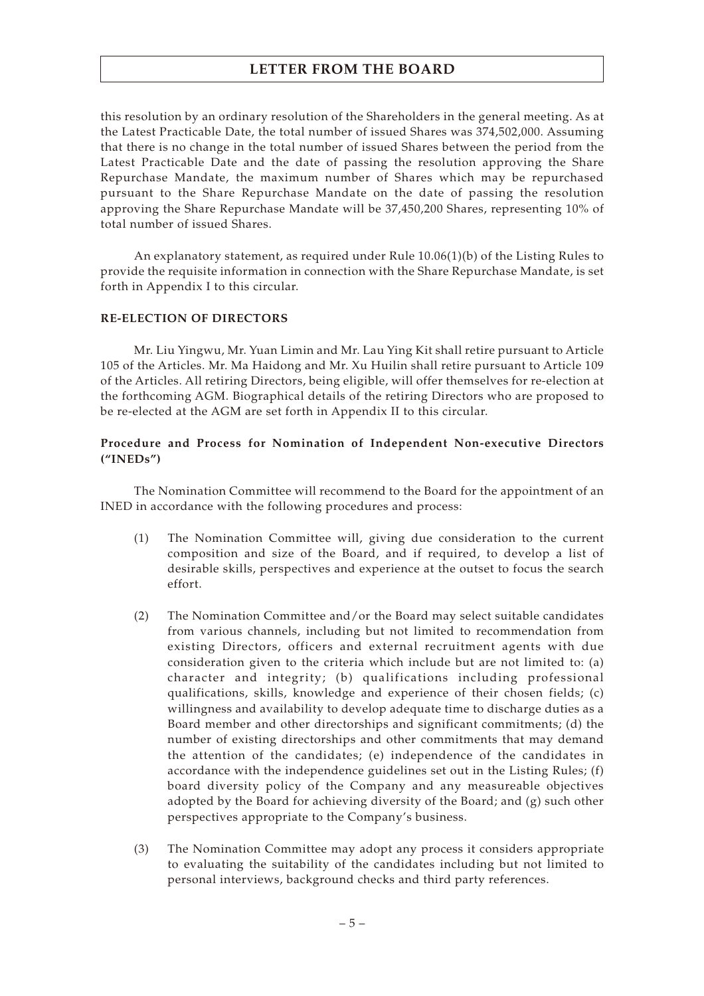this resolution by an ordinary resolution of the Shareholders in the general meeting. As at the Latest Practicable Date, the total number of issued Shares was 374,502,000. Assuming that there is no change in the total number of issued Shares between the period from the Latest Practicable Date and the date of passing the resolution approving the Share Repurchase Mandate, the maximum number of Shares which may be repurchased pursuant to the Share Repurchase Mandate on the date of passing the resolution approving the Share Repurchase Mandate will be 37,450,200 Shares, representing 10% of total number of issued Shares.

An explanatory statement, as required under Rule 10.06(1)(b) of the Listing Rules to provide the requisite information in connection with the Share Repurchase Mandate, is set forth in Appendix I to this circular.

### **RE-ELECTION OF DIRECTORS**

Mr. Liu Yingwu, Mr. Yuan Limin and Mr. Lau Ying Kit shall retire pursuant to Article 105 of the Articles. Mr. Ma Haidong and Mr. Xu Huilin shall retire pursuant to Article 109 of the Articles. All retiring Directors, being eligible, will offer themselves for re-election at the forthcoming AGM. Biographical details of the retiring Directors who are proposed to be re-elected at the AGM are set forth in Appendix II to this circular.

### **Procedure and Process for Nomination of Independent Non-executive Directors ("INEDs")**

The Nomination Committee will recommend to the Board for the appointment of an INED in accordance with the following procedures and process:

- (1) The Nomination Committee will, giving due consideration to the current composition and size of the Board, and if required, to develop a list of desirable skills, perspectives and experience at the outset to focus the search effort.
- (2) The Nomination Committee and/or the Board may select suitable candidates from various channels, including but not limited to recommendation from existing Directors, officers and external recruitment agents with due consideration given to the criteria which include but are not limited to: (a) character and integrity; (b) qualifications including professional qualifications, skills, knowledge and experience of their chosen fields; (c) willingness and availability to develop adequate time to discharge duties as a Board member and other directorships and significant commitments; (d) the number of existing directorships and other commitments that may demand the attention of the candidates; (e) independence of the candidates in accordance with the independence guidelines set out in the Listing Rules; (f) board diversity policy of the Company and any measureable objectives adopted by the Board for achieving diversity of the Board; and (g) such other perspectives appropriate to the Company's business.
- (3) The Nomination Committee may adopt any process it considers appropriate to evaluating the suitability of the candidates including but not limited to personal interviews, background checks and third party references.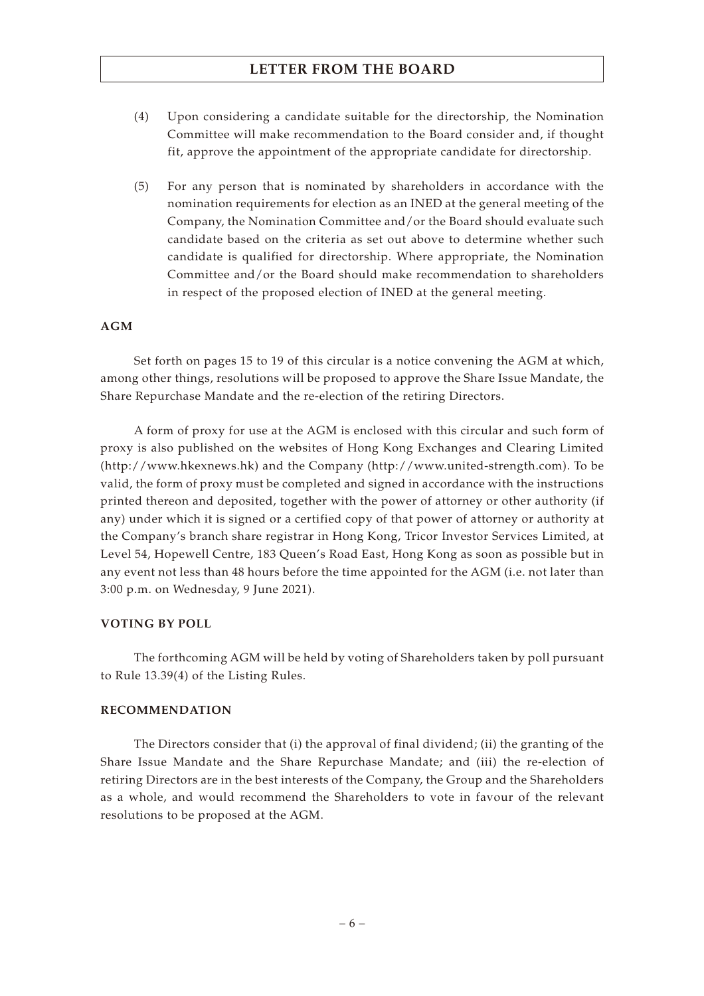- (4) Upon considering a candidate suitable for the directorship, the Nomination Committee will make recommendation to the Board consider and, if thought fit, approve the appointment of the appropriate candidate for directorship.
- (5) For any person that is nominated by shareholders in accordance with the nomination requirements for election as an INED at the general meeting of the Company, the Nomination Committee and/or the Board should evaluate such candidate based on the criteria as set out above to determine whether such candidate is qualified for directorship. Where appropriate, the Nomination Committee and/or the Board should make recommendation to shareholders in respect of the proposed election of INED at the general meeting.

### **AGM**

Set forth on pages 15 to 19 of this circular is a notice convening the AGM at which, among other things, resolutions will be proposed to approve the Share Issue Mandate, the Share Repurchase Mandate and the re-election of the retiring Directors.

A form of proxy for use at the AGM is enclosed with this circular and such form of proxy is also published on the websites of Hong Kong Exchanges and Clearing Limited (http://www.hkexnews.hk) and the Company (http://www.united-strength.com). To be valid, the form of proxy must be completed and signed in accordance with the instructions printed thereon and deposited, together with the power of attorney or other authority (if any) under which it is signed or a certified copy of that power of attorney or authority at the Company's branch share registrar in Hong Kong, Tricor Investor Services Limited, at Level 54, Hopewell Centre, 183 Queen's Road East, Hong Kong as soon as possible but in any event not less than 48 hours before the time appointed for the AGM (i.e. not later than 3:00 p.m. on Wednesday, 9 June 2021).

### **VOTING BY POLL**

The forthcoming AGM will be held by voting of Shareholders taken by poll pursuant to Rule 13.39(4) of the Listing Rules.

### **RECOMMENDATION**

The Directors consider that (i) the approval of final dividend; (ii) the granting of the Share Issue Mandate and the Share Repurchase Mandate; and (iii) the re-election of retiring Directors are in the best interests of the Company, the Group and the Shareholders as a whole, and would recommend the Shareholders to vote in favour of the relevant resolutions to be proposed at the AGM.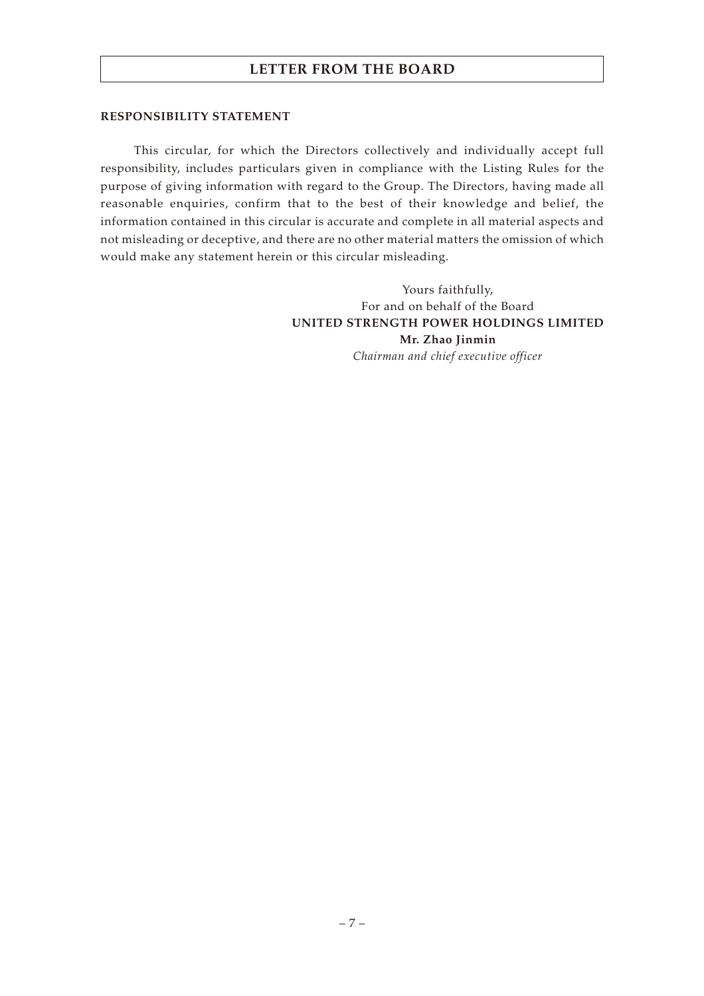### **RESPONSIBILITY STATEMENT**

This circular, for which the Directors collectively and individually accept full responsibility, includes particulars given in compliance with the Listing Rules for the purpose of giving information with regard to the Group. The Directors, having made all reasonable enquiries, confirm that to the best of their knowledge and belief, the information contained in this circular is accurate and complete in all material aspects and not misleading or deceptive, and there are no other material matters the omission of which would make any statement herein or this circular misleading.

> Yours faithfully, For and on behalf of the Board **UNITED STRENGTH POWER HOLDINGS LIMITED Mr. Zhao Jinmin** *Chairman and chief executive officer*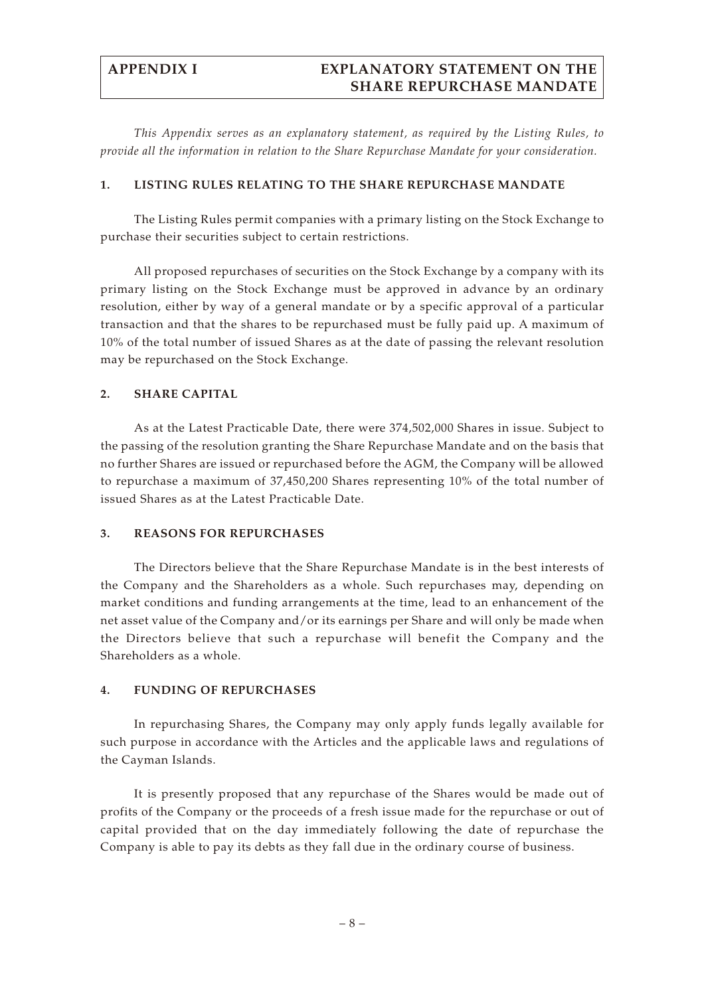# **APPENDIX I EXPLANATORY STATEMENT ON THE SHARE REPURCHASE MANDATE**

*This Appendix serves as an explanatory statement, as required by the Listing Rules, to provide all the information in relation to the Share Repurchase Mandate for your consideration.*

### **1. LISTING RULES RELATING TO THE SHARE REPURCHASE MANDATE**

The Listing Rules permit companies with a primary listing on the Stock Exchange to purchase their securities subject to certain restrictions.

All proposed repurchases of securities on the Stock Exchange by a company with its primary listing on the Stock Exchange must be approved in advance by an ordinary resolution, either by way of a general mandate or by a specific approval of a particular transaction and that the shares to be repurchased must be fully paid up. A maximum of 10% of the total number of issued Shares as at the date of passing the relevant resolution may be repurchased on the Stock Exchange.

### **2. SHARE CAPITAL**

As at the Latest Practicable Date, there were 374,502,000 Shares in issue. Subject to the passing of the resolution granting the Share Repurchase Mandate and on the basis that no further Shares are issued or repurchased before the AGM, the Company will be allowed to repurchase a maximum of 37,450,200 Shares representing 10% of the total number of issued Shares as at the Latest Practicable Date.

### **3. REASONS FOR REPURCHASES**

The Directors believe that the Share Repurchase Mandate is in the best interests of the Company and the Shareholders as a whole. Such repurchases may, depending on market conditions and funding arrangements at the time, lead to an enhancement of the net asset value of the Company and/or its earnings per Share and will only be made when the Directors believe that such a repurchase will benefit the Company and the Shareholders as a whole.

### **4. FUNDING OF REPURCHASES**

In repurchasing Shares, the Company may only apply funds legally available for such purpose in accordance with the Articles and the applicable laws and regulations of the Cayman Islands.

It is presently proposed that any repurchase of the Shares would be made out of profits of the Company or the proceeds of a fresh issue made for the repurchase or out of capital provided that on the day immediately following the date of repurchase the Company is able to pay its debts as they fall due in the ordinary course of business.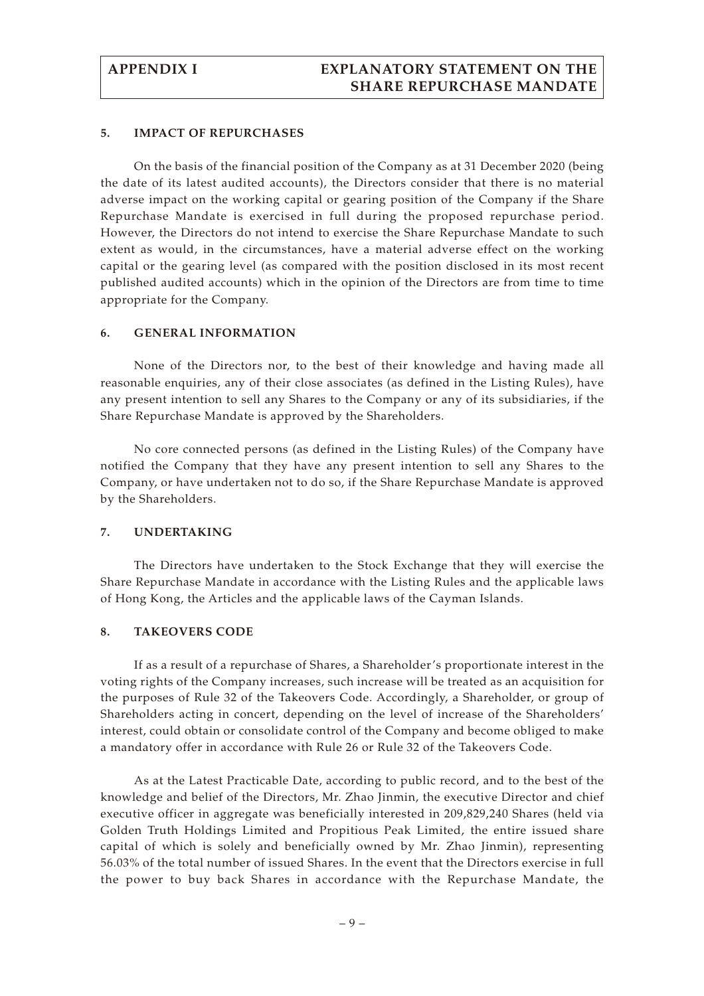### **5. IMPACT OF REPURCHASES**

On the basis of the financial position of the Company as at 31 December 2020 (being the date of its latest audited accounts), the Directors consider that there is no material adverse impact on the working capital or gearing position of the Company if the Share Repurchase Mandate is exercised in full during the proposed repurchase period. However, the Directors do not intend to exercise the Share Repurchase Mandate to such extent as would, in the circumstances, have a material adverse effect on the working capital or the gearing level (as compared with the position disclosed in its most recent published audited accounts) which in the opinion of the Directors are from time to time appropriate for the Company.

### **6. GENERAL INFORMATION**

None of the Directors nor, to the best of their knowledge and having made all reasonable enquiries, any of their close associates (as defined in the Listing Rules), have any present intention to sell any Shares to the Company or any of its subsidiaries, if the Share Repurchase Mandate is approved by the Shareholders.

No core connected persons (as defined in the Listing Rules) of the Company have notified the Company that they have any present intention to sell any Shares to the Company, or have undertaken not to do so, if the Share Repurchase Mandate is approved by the Shareholders.

### **7. UNDERTAKING**

The Directors have undertaken to the Stock Exchange that they will exercise the Share Repurchase Mandate in accordance with the Listing Rules and the applicable laws of Hong Kong, the Articles and the applicable laws of the Cayman Islands.

### **8. TAKEOVERS CODE**

If as a result of a repurchase of Shares, a Shareholder's proportionate interest in the voting rights of the Company increases, such increase will be treated as an acquisition for the purposes of Rule 32 of the Takeovers Code. Accordingly, a Shareholder, or group of Shareholders acting in concert, depending on the level of increase of the Shareholders' interest, could obtain or consolidate control of the Company and become obliged to make a mandatory offer in accordance with Rule 26 or Rule 32 of the Takeovers Code.

As at the Latest Practicable Date, according to public record, and to the best of the knowledge and belief of the Directors, Mr. Zhao Jinmin, the executive Director and chief executive officer in aggregate was beneficially interested in 209,829,240 Shares (held via Golden Truth Holdings Limited and Propitious Peak Limited, the entire issued share capital of which is solely and beneficially owned by Mr. Zhao Jinmin), representing 56.03% of the total number of issued Shares. In the event that the Directors exercise in full the power to buy back Shares in accordance with the Repurchase Mandate, the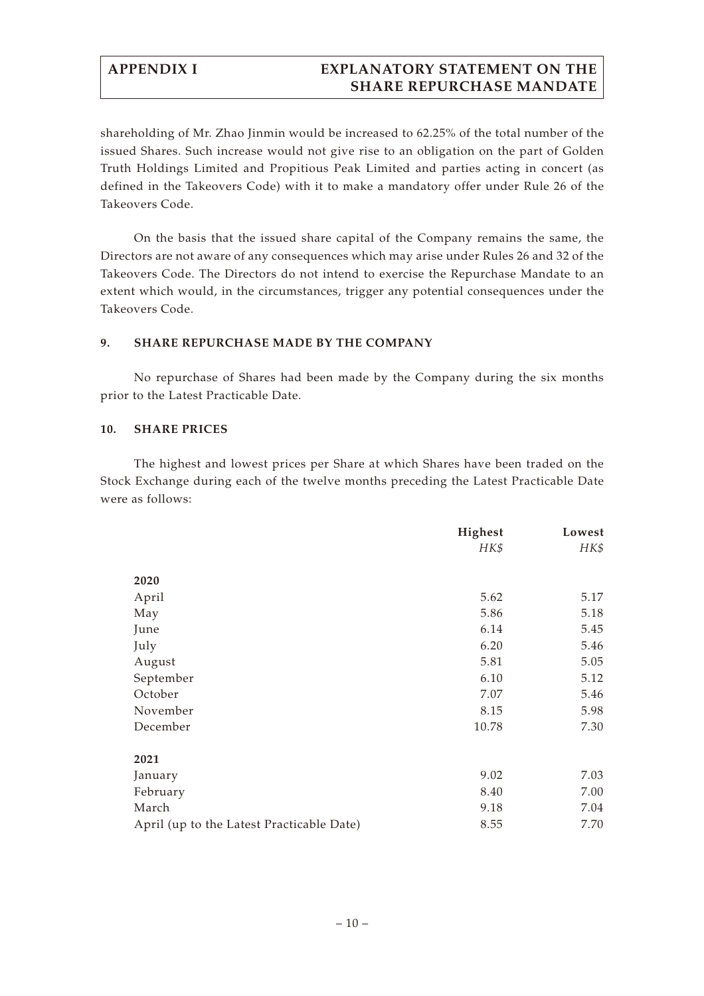# **APPENDIX I EXPLANATORY STATEMENT ON THE SHARE REPURCHASE MANDATE**

shareholding of Mr. Zhao Jinmin would be increased to 62.25% of the total number of the issued Shares. Such increase would not give rise to an obligation on the part of Golden Truth Holdings Limited and Propitious Peak Limited and parties acting in concert (as defined in the Takeovers Code) with it to make a mandatory offer under Rule 26 of the Takeovers Code.

On the basis that the issued share capital of the Company remains the same, the Directors are not aware of any consequences which may arise under Rules 26 and 32 of the Takeovers Code. The Directors do not intend to exercise the Repurchase Mandate to an extent which would, in the circumstances, trigger any potential consequences under the Takeovers Code.

### **9. SHARE REPURCHASE MADE BY THE COMPANY**

No repurchase of Shares had been made by the Company during the six months prior to the Latest Practicable Date.

### **10. SHARE PRICES**

The highest and lowest prices per Share at which Shares have been traded on the Stock Exchange during each of the twelve months preceding the Latest Practicable Date were as follows:

|                                           | Highest | Lowest |
|-------------------------------------------|---------|--------|
|                                           | HK\$    | HK\$   |
|                                           |         |        |
| 2020                                      |         |        |
| April                                     | 5.62    | 5.17   |
| May                                       | 5.86    | 5.18   |
| June                                      | 6.14    | 5.45   |
| July                                      | 6.20    | 5.46   |
| August                                    | 5.81    | 5.05   |
| September                                 | 6.10    | 5.12   |
| October                                   | 7.07    | 5.46   |
| November                                  | 8.15    | 5.98   |
| December                                  | 10.78   | 7.30   |
|                                           |         |        |
| 2021                                      |         |        |
| January                                   | 9.02    | 7.03   |
| February                                  | 8.40    | 7.00   |
| March                                     | 9.18    | 7.04   |
| April (up to the Latest Practicable Date) | 8.55    | 7.70   |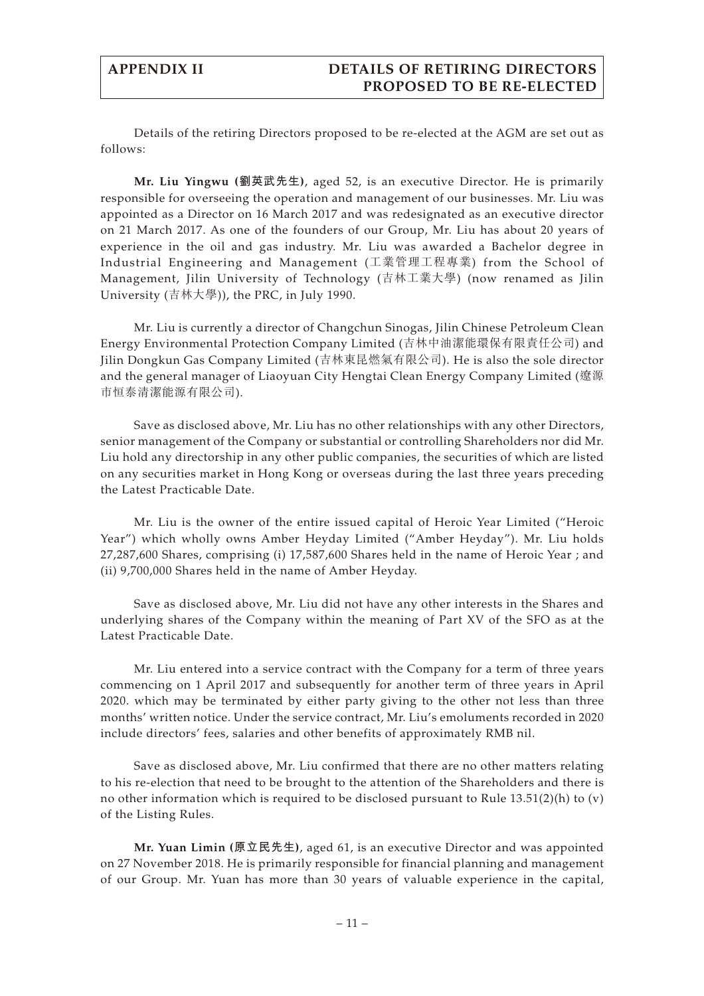Details of the retiring Directors proposed to be re-elected at the AGM are set out as follows:

**Mr. Liu Yingwu (劉英武先生)**, aged 52, is an executive Director. He is primarily responsible for overseeing the operation and management of our businesses. Mr. Liu was appointed as a Director on 16 March 2017 and was redesignated as an executive director on 21 March 2017. As one of the founders of our Group, Mr. Liu has about 20 years of experience in the oil and gas industry. Mr. Liu was awarded a Bachelor degree in Industrial Engineering and Management (工業管理工程專業) from the School of Management, Jilin University of Technology (吉林工業大學) (now renamed as Jilin University (吉林大學)), the PRC, in July 1990.

Mr. Liu is currently a director of Changchun Sinogas, Jilin Chinese Petroleum Clean Energy Environmental Protection Company Limited (吉林中油潔能環保有限責任公司) and Jilin Dongkun Gas Company Limited (吉林東昆燃氣有限公司). He is also the sole director and the general manager of Liaoyuan City Hengtai Clean Energy Company Limited (遼源 市恒泰清潔能源有限公司).

Save as disclosed above, Mr. Liu has no other relationships with any other Directors, senior management of the Company or substantial or controlling Shareholders nor did Mr. Liu hold any directorship in any other public companies, the securities of which are listed on any securities market in Hong Kong or overseas during the last three years preceding the Latest Practicable Date.

Mr. Liu is the owner of the entire issued capital of Heroic Year Limited ("Heroic Year") which wholly owns Amber Heyday Limited ("Amber Heyday"). Mr. Liu holds 27,287,600 Shares, comprising (i) 17,587,600 Shares held in the name of Heroic Year ; and (ii) 9,700,000 Shares held in the name of Amber Heyday.

Save as disclosed above, Mr. Liu did not have any other interests in the Shares and underlying shares of the Company within the meaning of Part XV of the SFO as at the Latest Practicable Date.

Mr. Liu entered into a service contract with the Company for a term of three years commencing on 1 April 2017 and subsequently for another term of three years in April 2020. which may be terminated by either party giving to the other not less than three months' written notice. Under the service contract, Mr. Liu's emoluments recorded in 2020 include directors' fees, salaries and other benefits of approximately RMB nil.

Save as disclosed above, Mr. Liu confirmed that there are no other matters relating to his re-election that need to be brought to the attention of the Shareholders and there is no other information which is required to be disclosed pursuant to Rule 13.51(2)(h) to (v) of the Listing Rules.

**Mr. Yuan Limin (原立民先生)**, aged 61, is an executive Director and was appointed on 27 November 2018. He is primarily responsible for financial planning and management of our Group. Mr. Yuan has more than 30 years of valuable experience in the capital,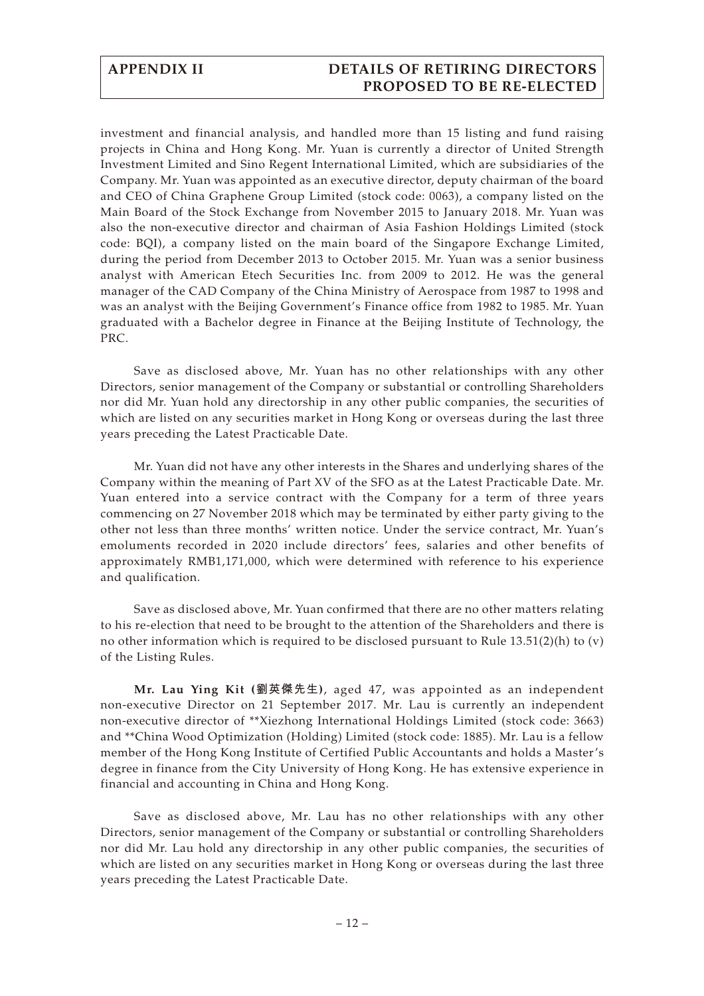investment and financial analysis, and handled more than 15 listing and fund raising projects in China and Hong Kong. Mr. Yuan is currently a director of United Strength Investment Limited and Sino Regent International Limited, which are subsidiaries of the Company. Mr. Yuan was appointed as an executive director, deputy chairman of the board and CEO of China Graphene Group Limited (stock code: 0063), a company listed on the Main Board of the Stock Exchange from November 2015 to January 2018. Mr. Yuan was also the non-executive director and chairman of Asia Fashion Holdings Limited (stock code: BQI), a company listed on the main board of the Singapore Exchange Limited, during the period from December 2013 to October 2015. Mr. Yuan was a senior business analyst with American Etech Securities Inc. from 2009 to 2012. He was the general manager of the CAD Company of the China Ministry of Aerospace from 1987 to 1998 and was an analyst with the Beijing Government's Finance office from 1982 to 1985. Mr. Yuan graduated with a Bachelor degree in Finance at the Beijing Institute of Technology, the PRC.

Save as disclosed above, Mr. Yuan has no other relationships with any other Directors, senior management of the Company or substantial or controlling Shareholders nor did Mr. Yuan hold any directorship in any other public companies, the securities of which are listed on any securities market in Hong Kong or overseas during the last three years preceding the Latest Practicable Date.

Mr. Yuan did not have any other interests in the Shares and underlying shares of the Company within the meaning of Part XV of the SFO as at the Latest Practicable Date. Mr. Yuan entered into a service contract with the Company for a term of three years commencing on 27 November 2018 which may be terminated by either party giving to the other not less than three months' written notice. Under the service contract, Mr. Yuan's emoluments recorded in 2020 include directors' fees, salaries and other benefits of approximately RMB1,171,000, which were determined with reference to his experience and qualification.

Save as disclosed above, Mr. Yuan confirmed that there are no other matters relating to his re-election that need to be brought to the attention of the Shareholders and there is no other information which is required to be disclosed pursuant to Rule 13.51(2)(h) to (v) of the Listing Rules.

**Mr. Lau Ying Kit (劉英傑先生)**, aged 47, was appointed as an independent non-executive Director on 21 September 2017. Mr. Lau is currently an independent non-executive director of \*\*Xiezhong International Holdings Limited (stock code: 3663) and \*\*China Wood Optimization (Holding) Limited (stock code: 1885). Mr. Lau is a fellow member of the Hong Kong Institute of Certified Public Accountants and holds a Master's degree in finance from the City University of Hong Kong. He has extensive experience in financial and accounting in China and Hong Kong.

Save as disclosed above, Mr. Lau has no other relationships with any other Directors, senior management of the Company or substantial or controlling Shareholders nor did Mr. Lau hold any directorship in any other public companies, the securities of which are listed on any securities market in Hong Kong or overseas during the last three years preceding the Latest Practicable Date.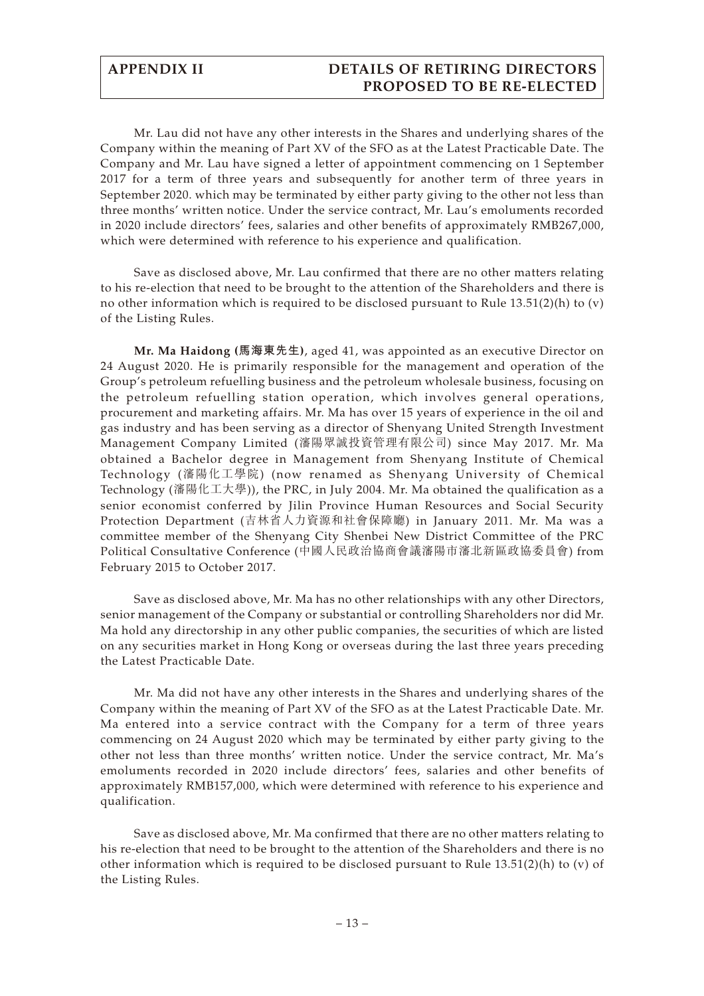Mr. Lau did not have any other interests in the Shares and underlying shares of the Company within the meaning of Part XV of the SFO as at the Latest Practicable Date. The Company and Mr. Lau have signed a letter of appointment commencing on 1 September 2017 for a term of three years and subsequently for another term of three years in September 2020. which may be terminated by either party giving to the other not less than three months' written notice. Under the service contract, Mr. Lau's emoluments recorded in 2020 include directors' fees, salaries and other benefits of approximately RMB267,000, which were determined with reference to his experience and qualification.

Save as disclosed above, Mr. Lau confirmed that there are no other matters relating to his re-election that need to be brought to the attention of the Shareholders and there is no other information which is required to be disclosed pursuant to Rule  $13.51(2)(h)$  to (v) of the Listing Rules.

**Mr. Ma Haidong (馬海東先生)**, aged 41, was appointed as an executive Director on 24 August 2020. He is primarily responsible for the management and operation of the Group's petroleum refuelling business and the petroleum wholesale business, focusing on the petroleum refuelling station operation, which involves general operations, procurement and marketing affairs. Mr. Ma has over 15 years of experience in the oil and gas industry and has been serving as a director of Shenyang United Strength Investment Management Company Limited (瀋陽眾誠投資管理有限公司) since May 2017. Mr. Ma obtained a Bachelor degree in Management from Shenyang Institute of Chemical Technology (瀋陽化工學院) (now renamed as Shenyang University of Chemical Technology (瀋陽化工大學)), the PRC, in July 2004. Mr. Ma obtained the qualification as a senior economist conferred by Jilin Province Human Resources and Social Security Protection Department (吉林省人力資源和社會保障廳) in January 2011. Mr. Ma was a committee member of the Shenyang City Shenbei New District Committee of the PRC Political Consultative Conference (中國人民政治協商會議瀋陽市瀋北新區政協委員會) from February 2015 to October 2017.

Save as disclosed above, Mr. Ma has no other relationships with any other Directors, senior management of the Company or substantial or controlling Shareholders nor did Mr. Ma hold any directorship in any other public companies, the securities of which are listed on any securities market in Hong Kong or overseas during the last three years preceding the Latest Practicable Date.

Mr. Ma did not have any other interests in the Shares and underlying shares of the Company within the meaning of Part XV of the SFO as at the Latest Practicable Date. Mr. Ma entered into a service contract with the Company for a term of three years commencing on 24 August 2020 which may be terminated by either party giving to the other not less than three months' written notice. Under the service contract, Mr. Ma's emoluments recorded in 2020 include directors' fees, salaries and other benefits of approximately RMB157,000, which were determined with reference to his experience and qualification.

Save as disclosed above, Mr. Ma confirmed that there are no other matters relating to his re-election that need to be brought to the attention of the Shareholders and there is no other information which is required to be disclosed pursuant to Rule  $13.51(2)(h)$  to (v) of the Listing Rules.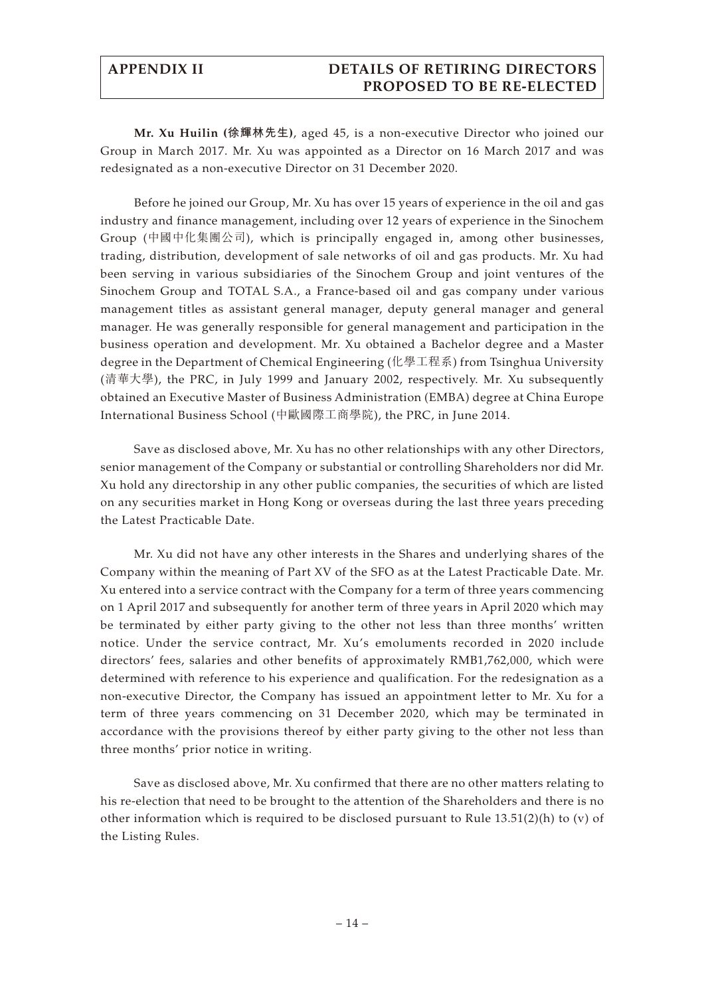**Mr. Xu Huilin (徐輝林先生)**, aged 45, is a non-executive Director who joined our Group in March 2017. Mr. Xu was appointed as a Director on 16 March 2017 and was redesignated as a non-executive Director on 31 December 2020.

Before he joined our Group, Mr. Xu has over 15 years of experience in the oil and gas industry and finance management, including over 12 years of experience in the Sinochem Group (中國中化集團公司), which is principally engaged in, among other businesses, trading, distribution, development of sale networks of oil and gas products. Mr. Xu had been serving in various subsidiaries of the Sinochem Group and joint ventures of the Sinochem Group and TOTAL S.A., a France-based oil and gas company under various management titles as assistant general manager, deputy general manager and general manager. He was generally responsible for general management and participation in the business operation and development. Mr. Xu obtained a Bachelor degree and a Master degree in the Department of Chemical Engineering (化學工程系) from Tsinghua University (清華大學), the PRC, in July 1999 and January 2002, respectively. Mr. Xu subsequently obtained an Executive Master of Business Administration (EMBA) degree at China Europe International Business School (中歐國際工商學院), the PRC, in June 2014.

Save as disclosed above, Mr. Xu has no other relationships with any other Directors, senior management of the Company or substantial or controlling Shareholders nor did Mr. Xu hold any directorship in any other public companies, the securities of which are listed on any securities market in Hong Kong or overseas during the last three years preceding the Latest Practicable Date.

Mr. Xu did not have any other interests in the Shares and underlying shares of the Company within the meaning of Part XV of the SFO as at the Latest Practicable Date. Mr. Xu entered into a service contract with the Company for a term of three years commencing on 1 April 2017 and subsequently for another term of three years in April 2020 which may be terminated by either party giving to the other not less than three months' written notice. Under the service contract, Mr. Xu's emoluments recorded in 2020 include directors' fees, salaries and other benefits of approximately RMB1,762,000, which were determined with reference to his experience and qualification. For the redesignation as a non-executive Director, the Company has issued an appointment letter to Mr. Xu for a term of three years commencing on 31 December 2020, which may be terminated in accordance with the provisions thereof by either party giving to the other not less than three months' prior notice in writing.

Save as disclosed above, Mr. Xu confirmed that there are no other matters relating to his re-election that need to be brought to the attention of the Shareholders and there is no other information which is required to be disclosed pursuant to Rule 13.51(2)(h) to (v) of the Listing Rules.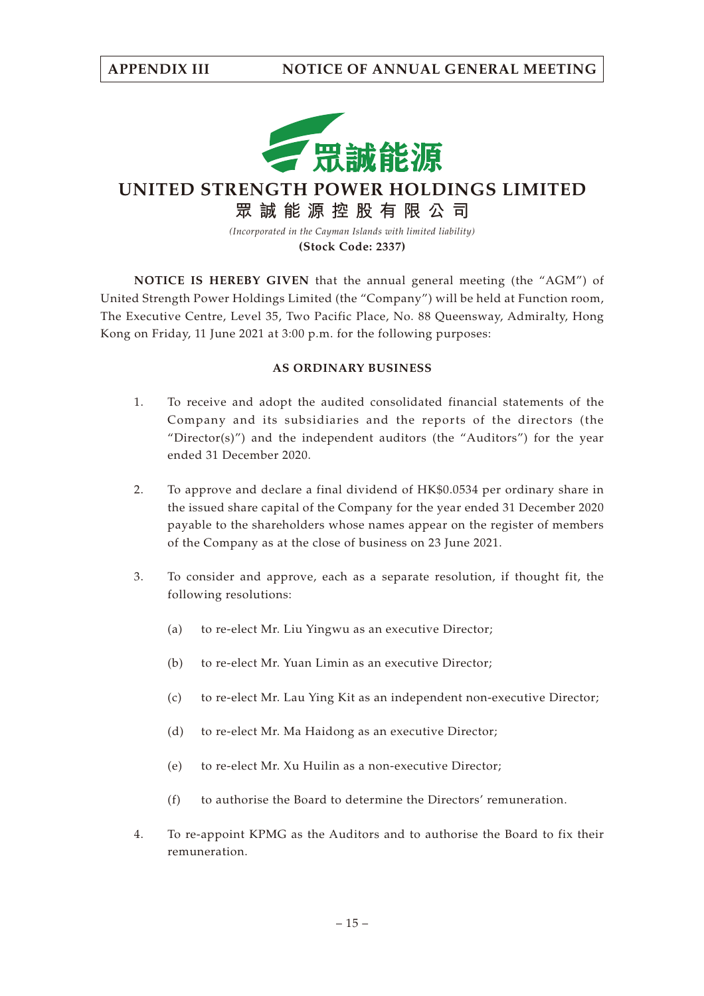

**UNITED STRENGTH POWER HOLDINGS LIMITED**

**眾誠能源控股有限公司**

*(Incorporated in the Cayman Islands with limited liability)* **(Stock Code: 2337)**

**NOTICE IS HEREBY GIVEN** that the annual general meeting (the "AGM") of United Strength Power Holdings Limited (the "Company") will be held at Function room, The Executive Centre, Level 35, Two Pacific Place, No. 88 Queensway, Admiralty, Hong Kong on Friday, 11 June 2021 at 3:00 p.m. for the following purposes:

## **AS ORDINARY BUSINESS**

- 1. To receive and adopt the audited consolidated financial statements of the Company and its subsidiaries and the reports of the directors (the "Director(s)") and the independent auditors (the "Auditors") for the year ended 31 December 2020.
- 2. To approve and declare a final dividend of HK\$0.0534 per ordinary share in the issued share capital of the Company for the year ended 31 December 2020 payable to the shareholders whose names appear on the register of members of the Company as at the close of business on 23 June 2021.
- 3. To consider and approve, each as a separate resolution, if thought fit, the following resolutions:
	- (a) to re-elect Mr. Liu Yingwu as an executive Director;
	- (b) to re-elect Mr. Yuan Limin as an executive Director;
	- (c) to re-elect Mr. Lau Ying Kit as an independent non-executive Director;
	- (d) to re-elect Mr. Ma Haidong as an executive Director;
	- (e) to re-elect Mr. Xu Huilin as a non-executive Director;
	- (f) to authorise the Board to determine the Directors' remuneration.
- 4. To re-appoint KPMG as the Auditors and to authorise the Board to fix their remuneration.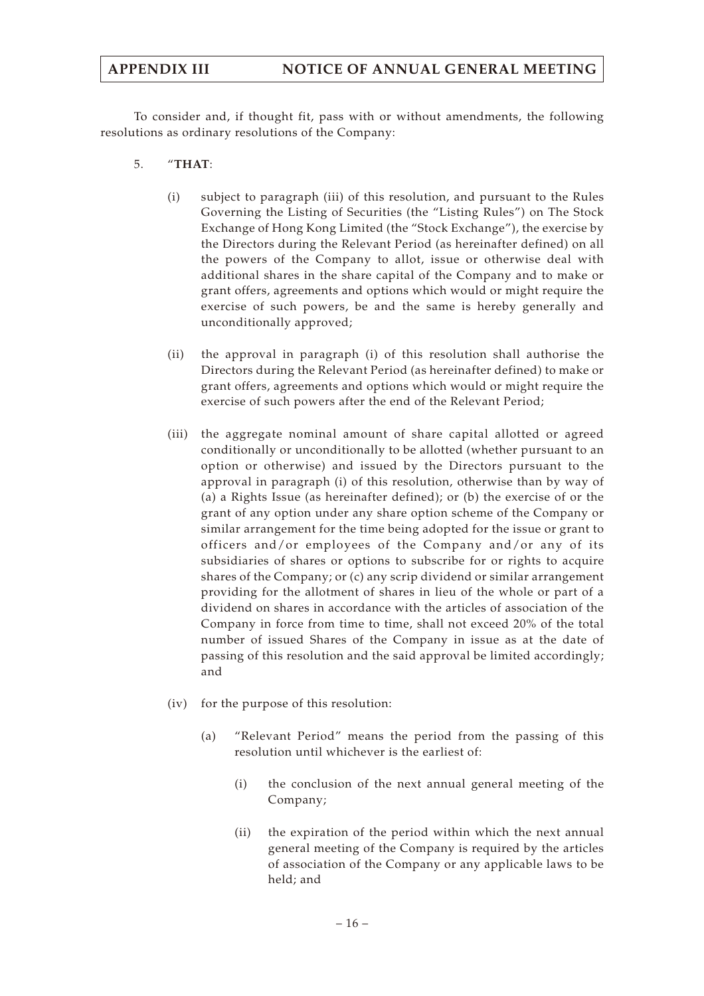# **APPENDIX III NOTICE OF ANNUAL GENERAL MEETING**

To consider and, if thought fit, pass with or without amendments, the following resolutions as ordinary resolutions of the Company:

- 5. "**THAT**:
	- (i) subject to paragraph (iii) of this resolution, and pursuant to the Rules Governing the Listing of Securities (the "Listing Rules") on The Stock Exchange of Hong Kong Limited (the "Stock Exchange"), the exercise by the Directors during the Relevant Period (as hereinafter defined) on all the powers of the Company to allot, issue or otherwise deal with additional shares in the share capital of the Company and to make or grant offers, agreements and options which would or might require the exercise of such powers, be and the same is hereby generally and unconditionally approved;
	- (ii) the approval in paragraph (i) of this resolution shall authorise the Directors during the Relevant Period (as hereinafter defined) to make or grant offers, agreements and options which would or might require the exercise of such powers after the end of the Relevant Period;
	- (iii) the aggregate nominal amount of share capital allotted or agreed conditionally or unconditionally to be allotted (whether pursuant to an option or otherwise) and issued by the Directors pursuant to the approval in paragraph (i) of this resolution, otherwise than by way of (a) a Rights Issue (as hereinafter defined); or (b) the exercise of or the grant of any option under any share option scheme of the Company or similar arrangement for the time being adopted for the issue or grant to officers and/or employees of the Company and/or any of its subsidiaries of shares or options to subscribe for or rights to acquire shares of the Company; or (c) any scrip dividend or similar arrangement providing for the allotment of shares in lieu of the whole or part of a dividend on shares in accordance with the articles of association of the Company in force from time to time, shall not exceed 20% of the total number of issued Shares of the Company in issue as at the date of passing of this resolution and the said approval be limited accordingly; and
	- (iv) for the purpose of this resolution:
		- (a) "Relevant Period" means the period from the passing of this resolution until whichever is the earliest of:
			- (i) the conclusion of the next annual general meeting of the Company;
			- (ii) the expiration of the period within which the next annual general meeting of the Company is required by the articles of association of the Company or any applicable laws to be held; and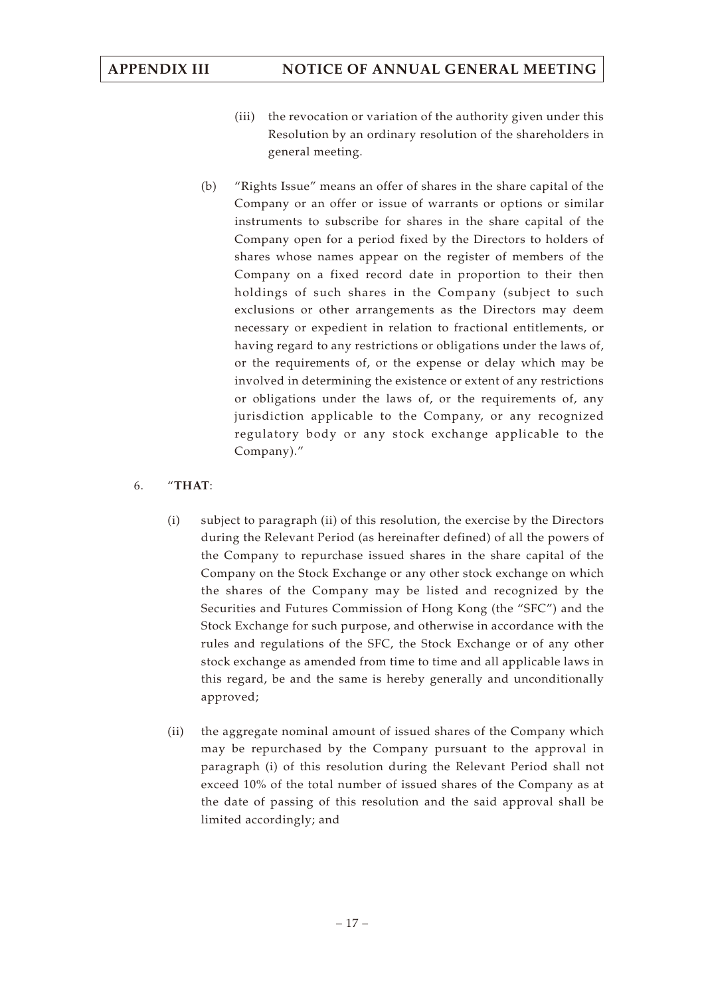- (iii) the revocation or variation of the authority given under this Resolution by an ordinary resolution of the shareholders in general meeting.
- (b) "Rights Issue" means an offer of shares in the share capital of the Company or an offer or issue of warrants or options or similar instruments to subscribe for shares in the share capital of the Company open for a period fixed by the Directors to holders of shares whose names appear on the register of members of the Company on a fixed record date in proportion to their then holdings of such shares in the Company (subject to such exclusions or other arrangements as the Directors may deem necessary or expedient in relation to fractional entitlements, or having regard to any restrictions or obligations under the laws of, or the requirements of, or the expense or delay which may be involved in determining the existence or extent of any restrictions or obligations under the laws of, or the requirements of, any jurisdiction applicable to the Company, or any recognized regulatory body or any stock exchange applicable to the Company)."

## 6. "**THAT**:

- (i) subject to paragraph (ii) of this resolution, the exercise by the Directors during the Relevant Period (as hereinafter defined) of all the powers of the Company to repurchase issued shares in the share capital of the Company on the Stock Exchange or any other stock exchange on which the shares of the Company may be listed and recognized by the Securities and Futures Commission of Hong Kong (the "SFC") and the Stock Exchange for such purpose, and otherwise in accordance with the rules and regulations of the SFC, the Stock Exchange or of any other stock exchange as amended from time to time and all applicable laws in this regard, be and the same is hereby generally and unconditionally approved;
- (ii) the aggregate nominal amount of issued shares of the Company which may be repurchased by the Company pursuant to the approval in paragraph (i) of this resolution during the Relevant Period shall not exceed 10% of the total number of issued shares of the Company as at the date of passing of this resolution and the said approval shall be limited accordingly; and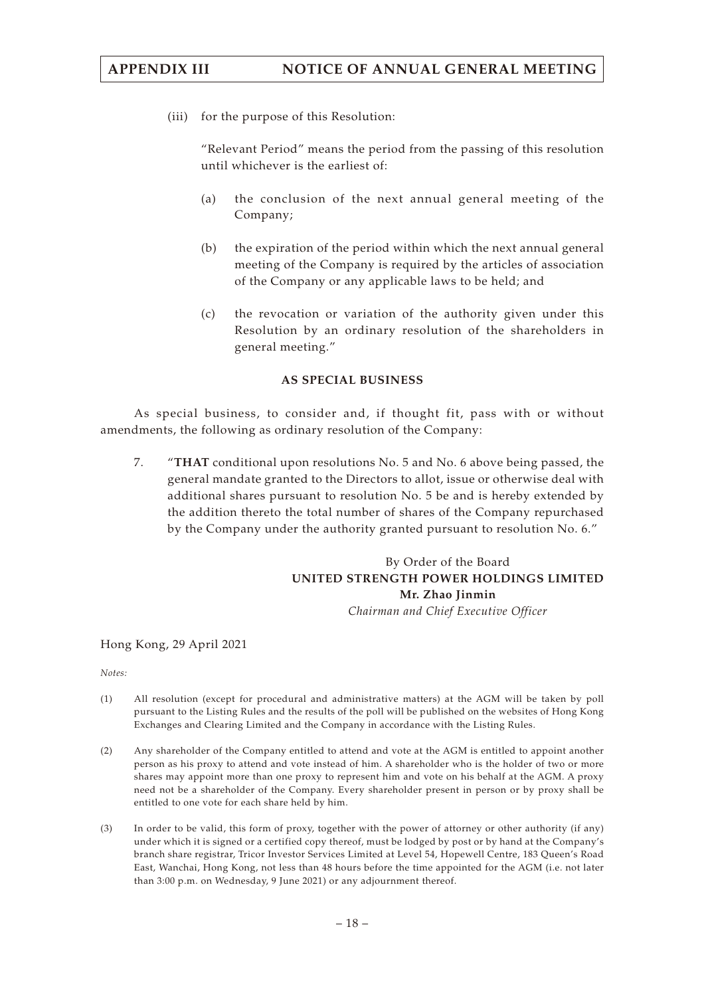# **APPENDIX III NOTICE OF ANNUAL GENERAL MEETING**

(iii) for the purpose of this Resolution:

"Relevant Period" means the period from the passing of this resolution until whichever is the earliest of:

- (a) the conclusion of the next annual general meeting of the Company;
- (b) the expiration of the period within which the next annual general meeting of the Company is required by the articles of association of the Company or any applicable laws to be held; and
- (c) the revocation or variation of the authority given under this Resolution by an ordinary resolution of the shareholders in general meeting."

### **AS SPECIAL BUSINESS**

As special business, to consider and, if thought fit, pass with or without amendments, the following as ordinary resolution of the Company:

7. "**THAT** conditional upon resolutions No. 5 and No. 6 above being passed, the general mandate granted to the Directors to allot, issue or otherwise deal with additional shares pursuant to resolution No. 5 be and is hereby extended by the addition thereto the total number of shares of the Company repurchased by the Company under the authority granted pursuant to resolution No. 6."

# By Order of the Board **UNITED STRENGTH POWER HOLDINGS LIMITED Mr. Zhao Jinmin**

*Chairman and Chief Executive Officer*

Hong Kong, 29 April 2021

*Notes:*

- (1) All resolution (except for procedural and administrative matters) at the AGM will be taken by poll pursuant to the Listing Rules and the results of the poll will be published on the websites of Hong Kong Exchanges and Clearing Limited and the Company in accordance with the Listing Rules.
- (2) Any shareholder of the Company entitled to attend and vote at the AGM is entitled to appoint another person as his proxy to attend and vote instead of him. A shareholder who is the holder of two or more shares may appoint more than one proxy to represent him and vote on his behalf at the AGM. A proxy need not be a shareholder of the Company. Every shareholder present in person or by proxy shall be entitled to one vote for each share held by him.
- (3) In order to be valid, this form of proxy, together with the power of attorney or other authority (if any) under which it is signed or a certified copy thereof, must be lodged by post or by hand at the Company's branch share registrar, Tricor Investor Services Limited at Level 54, Hopewell Centre, 183 Queen's Road East, Wanchai, Hong Kong, not less than 48 hours before the time appointed for the AGM (i.e. not later than 3:00 p.m. on Wednesday, 9 June 2021) or any adjournment thereof.